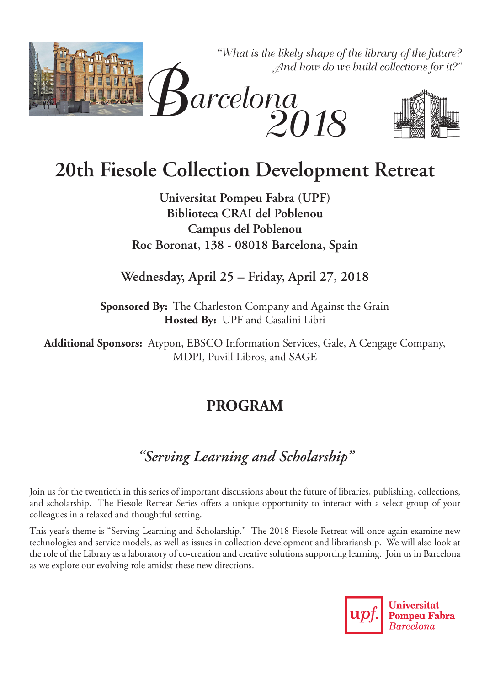

# **20th Fiesole Collection Development Retreat**

**Universitat Pompeu Fabra (UPF) Biblioteca CRAI del Poblenou Campus del Poblenou Roc Boronat, 138 - 08018 Barcelona, Spain**

**Wednesday, April 25 – Friday, April 27, 2018**

**Sponsored By:** The Charleston Company and Against the Grain **Hosted By:** UPF and Casalini Libri

**Additional Sponsors:** Atypon, EBSCO Information Services, Gale, A Cengage Company, MDPI, Puvill Libros, and SAGE

# **PROGRAM**

# *"Serving Learning and Scholarship"*

Join us for the twentieth in this series of important discussions about the future of libraries, publishing, collections, and scholarship. The Fiesole Retreat Series offers a unique opportunity to interact with a select group of your colleagues in a relaxed and thoughtful setting.

This year's theme is "Serving Learning and Scholarship." The 2018 Fiesole Retreat will once again examine new technologies and service models, as well as issues in collection development and librarianship. We will also look at the role of the Library as a laboratory of co-creation and creative solutions supporting learning. Join us in Barcelona as we explore our evolving role amidst these new directions.

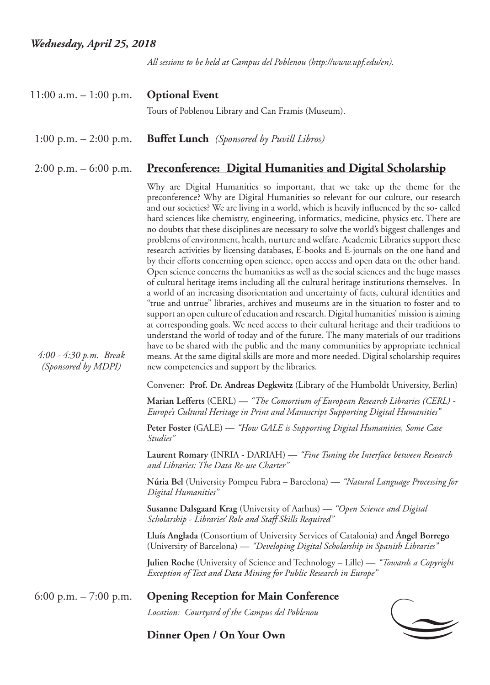*All sessions to be held at Campus del Poblenou (http://www.upf.edu/en).*

| $11:00$ a.m. $-1:00$ p.m.                       | <b>Optional Event</b><br>Tours of Poblenou Library and Can Framis (Museum).                                                                                                                                                                                                                                                                                                                                                                                                                                                                                                                                                                                                                                                                                                                                                                                                                                                                                                                                                                                                                                                                                                                                                                                                                                                                                                                                                                                                                                                                                                                                                                     |
|-------------------------------------------------|-------------------------------------------------------------------------------------------------------------------------------------------------------------------------------------------------------------------------------------------------------------------------------------------------------------------------------------------------------------------------------------------------------------------------------------------------------------------------------------------------------------------------------------------------------------------------------------------------------------------------------------------------------------------------------------------------------------------------------------------------------------------------------------------------------------------------------------------------------------------------------------------------------------------------------------------------------------------------------------------------------------------------------------------------------------------------------------------------------------------------------------------------------------------------------------------------------------------------------------------------------------------------------------------------------------------------------------------------------------------------------------------------------------------------------------------------------------------------------------------------------------------------------------------------------------------------------------------------------------------------------------------------|
| 1:00 p.m. $-2:00$ p.m.                          | <b>Buffet Lunch</b> (Sponsored by Puvill Libros)                                                                                                                                                                                                                                                                                                                                                                                                                                                                                                                                                                                                                                                                                                                                                                                                                                                                                                                                                                                                                                                                                                                                                                                                                                                                                                                                                                                                                                                                                                                                                                                                |
| $2:00 \text{ p.m.} - 6:00 \text{ p.m.}$         | <u><b>Preconference: Digital Humanities and Digital Scholarship</b></u>                                                                                                                                                                                                                                                                                                                                                                                                                                                                                                                                                                                                                                                                                                                                                                                                                                                                                                                                                                                                                                                                                                                                                                                                                                                                                                                                                                                                                                                                                                                                                                         |
| $4:00 - 4:30 p.m.$ Break<br>(Sponsored by MDPI) | Why are Digital Humanities so important, that we take up the theme for the<br>preconference? Why are Digital Humanities so relevant for our culture, our research<br>and our societies? We are living in a world, which is heavily influenced by the so- called<br>hard sciences like chemistry, engineering, informatics, medicine, physics etc. There are<br>no doubts that these disciplines are necessary to solve the world's biggest challenges and<br>problems of environment, health, nurture and welfare. Academic Libraries support these<br>research activities by licensing databases, E-books and E-journals on the one hand and<br>by their efforts concerning open science, open access and open data on the other hand.<br>Open science concerns the humanities as well as the social sciences and the huge masses<br>of cultural heritage items including all the cultural heritage institutions themselves. In<br>a world of an increasing disorientation and uncertainty of facts, cultural identities and<br>"true and untrue" libraries, archives and museums are in the situation to foster and to<br>support an open culture of education and research. Digital humanities' mission is aiming<br>at corresponding goals. We need access to their cultural heritage and their traditions to<br>understand the world of today and of the future. The many materials of our traditions<br>have to be shared with the public and the many communities by appropriate technical<br>means. At the same digital skills are more and more needed. Digital scholarship requires<br>new competencies and support by the libraries. |
|                                                 | Convener: Prof. Dr. Andreas Degkwitz (Library of the Humboldt University, Berlin)                                                                                                                                                                                                                                                                                                                                                                                                                                                                                                                                                                                                                                                                                                                                                                                                                                                                                                                                                                                                                                                                                                                                                                                                                                                                                                                                                                                                                                                                                                                                                               |
|                                                 | Marian Lefferts (CERL) — "The Consortium of European Research Libraries (CERL) -<br>Europe's Cultural Heritage in Print and Manuscript Supporting Digital Humanities"                                                                                                                                                                                                                                                                                                                                                                                                                                                                                                                                                                                                                                                                                                                                                                                                                                                                                                                                                                                                                                                                                                                                                                                                                                                                                                                                                                                                                                                                           |
|                                                 | Peter Foster (GALE) — "How GALE is Supporting Digital Humanities, Some Case<br>Studies"                                                                                                                                                                                                                                                                                                                                                                                                                                                                                                                                                                                                                                                                                                                                                                                                                                                                                                                                                                                                                                                                                                                                                                                                                                                                                                                                                                                                                                                                                                                                                         |
|                                                 | Laurent Romary (INRIA - DARIAH) — "Fine Tuning the Interface between Research<br>and Libraries: The Data Re-use Charter"                                                                                                                                                                                                                                                                                                                                                                                                                                                                                                                                                                                                                                                                                                                                                                                                                                                                                                                                                                                                                                                                                                                                                                                                                                                                                                                                                                                                                                                                                                                        |
|                                                 | Núria Bel (University Pompeu Fabra – Barcelona) — "Natural Language Processing for<br>Digital Humanities"                                                                                                                                                                                                                                                                                                                                                                                                                                                                                                                                                                                                                                                                                                                                                                                                                                                                                                                                                                                                                                                                                                                                                                                                                                                                                                                                                                                                                                                                                                                                       |
|                                                 | Susanne Dalsgaard Krag (University of Aarhus) — "Open Science and Digital<br>Scholarship - Libraries' Role and Staff Skills Required"                                                                                                                                                                                                                                                                                                                                                                                                                                                                                                                                                                                                                                                                                                                                                                                                                                                                                                                                                                                                                                                                                                                                                                                                                                                                                                                                                                                                                                                                                                           |
|                                                 | Lluís Anglada (Consortium of University Services of Catalonia) and Angel Borrego<br>(University of Barcelona) — "Developing Digital Scholarship in Spanish Libraries"                                                                                                                                                                                                                                                                                                                                                                                                                                                                                                                                                                                                                                                                                                                                                                                                                                                                                                                                                                                                                                                                                                                                                                                                                                                                                                                                                                                                                                                                           |
|                                                 | Julien Roche (University of Science and Technology - Lille) — "Towards a Copyright<br>Exception of Text and Data Mining for Public Research in Europe"                                                                                                                                                                                                                                                                                                                                                                                                                                                                                                                                                                                                                                                                                                                                                                                                                                                                                                                                                                                                                                                                                                                                                                                                                                                                                                                                                                                                                                                                                          |
| 6:00 p.m. $- 7:00$ p.m.                         | <b>Opening Reception for Main Conference</b>                                                                                                                                                                                                                                                                                                                                                                                                                                                                                                                                                                                                                                                                                                                                                                                                                                                                                                                                                                                                                                                                                                                                                                                                                                                                                                                                                                                                                                                                                                                                                                                                    |
|                                                 | Location: Courtyard of the Campus del Poblenou                                                                                                                                                                                                                                                                                                                                                                                                                                                                                                                                                                                                                                                                                                                                                                                                                                                                                                                                                                                                                                                                                                                                                                                                                                                                                                                                                                                                                                                                                                                                                                                                  |
|                                                 | Dinner Open / On Your Own                                                                                                                                                                                                                                                                                                                                                                                                                                                                                                                                                                                                                                                                                                                                                                                                                                                                                                                                                                                                                                                                                                                                                                                                                                                                                                                                                                                                                                                                                                                                                                                                                       |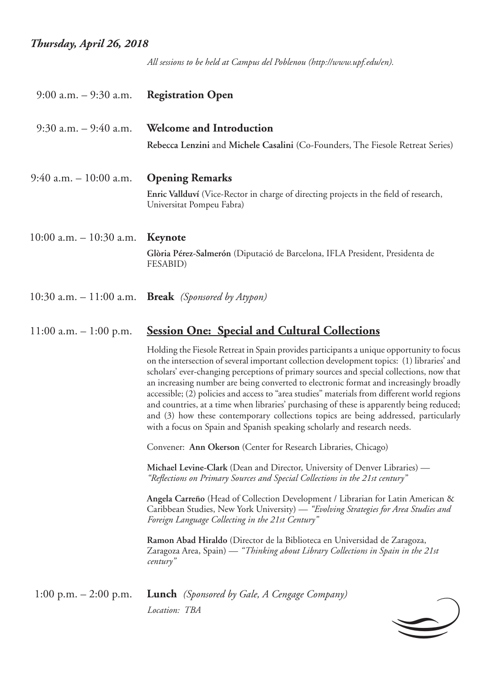## *Thursday, April 26, 2018*

*All sessions to be held at Campus del Poblenou (http://www.upf.edu/en).*

| $9:00$ a.m. $-9:30$ a.m.   | <b>Registration Open</b>                                                                                                                                                                                                                                                                                                                                                                                                                                                                                                                                                                                                                                                                                                                     |
|----------------------------|----------------------------------------------------------------------------------------------------------------------------------------------------------------------------------------------------------------------------------------------------------------------------------------------------------------------------------------------------------------------------------------------------------------------------------------------------------------------------------------------------------------------------------------------------------------------------------------------------------------------------------------------------------------------------------------------------------------------------------------------|
| $9:30$ a.m. $-9:40$ a.m.   | <b>Welcome and Introduction</b>                                                                                                                                                                                                                                                                                                                                                                                                                                                                                                                                                                                                                                                                                                              |
|                            | Rebecca Lenzini and Michele Casalini (Co-Founders, The Fiesole Retreat Series)                                                                                                                                                                                                                                                                                                                                                                                                                                                                                                                                                                                                                                                               |
| $9:40$ a.m. $-10:00$ a.m.  | <b>Opening Remarks</b>                                                                                                                                                                                                                                                                                                                                                                                                                                                                                                                                                                                                                                                                                                                       |
|                            | Enric Vallduví (Vice-Rector in charge of directing projects in the field of research,<br>Universitat Pompeu Fabra)                                                                                                                                                                                                                                                                                                                                                                                                                                                                                                                                                                                                                           |
| $10:00$ a.m. $-10:30$ a.m. | Keynote                                                                                                                                                                                                                                                                                                                                                                                                                                                                                                                                                                                                                                                                                                                                      |
|                            | Glòria Pérez-Salmerón (Diputació de Barcelona, IFLA President, Presidenta de<br>FESABID)                                                                                                                                                                                                                                                                                                                                                                                                                                                                                                                                                                                                                                                     |
| $10:30$ a.m. $-11:00$ a.m. | <b>Break</b> (Sponsored by Atypon)                                                                                                                                                                                                                                                                                                                                                                                                                                                                                                                                                                                                                                                                                                           |
| $11:00$ a.m. $-1:00$ p.m.  | <b><u>Session One: Special and Cultural Collections</u></b>                                                                                                                                                                                                                                                                                                                                                                                                                                                                                                                                                                                                                                                                                  |
|                            | Holding the Fiesole Retreat in Spain provides participants a unique opportunity to focus<br>on the intersection of several important collection development topics: (1) libraries' and<br>scholars' ever-changing perceptions of primary sources and special collections, now that<br>an increasing number are being converted to electronic format and increasingly broadly<br>accessible; (2) policies and access to "area studies" materials from different world regions<br>and countries, at a time when libraries' purchasing of these is apparently being reduced;<br>and (3) how these contemporary collections topics are being addressed, particularly<br>with a focus on Spain and Spanish speaking scholarly and research needs. |
|                            | Convener: Ann Okerson (Center for Research Libraries, Chicago)                                                                                                                                                                                                                                                                                                                                                                                                                                                                                                                                                                                                                                                                               |
|                            | Michael Levine-Clark (Dean and Director, University of Denver Libraries) —<br>"Reflections on Primary Sources and Special Collections in the 21st century"                                                                                                                                                                                                                                                                                                                                                                                                                                                                                                                                                                                   |
|                            | Angela Carreño (Head of Collection Development / Librarian for Latin American &<br>Caribbean Studies, New York University) — "Evolving Strategies for Area Studies and<br>Foreign Language Collecting in the 21st Century"                                                                                                                                                                                                                                                                                                                                                                                                                                                                                                                   |
|                            | Ramon Abad Hiraldo (Director de la Biblioteca en Universidad de Zaragoza,<br>Zaragoza Area, Spain) — "Thinking about Library Collections in Spain in the 21st<br>century"                                                                                                                                                                                                                                                                                                                                                                                                                                                                                                                                                                    |
| 1:00 p.m. $- 2:00$ p.m.    | <b>Lunch</b> (Sponsored by Gale, A Cengage Company)                                                                                                                                                                                                                                                                                                                                                                                                                                                                                                                                                                                                                                                                                          |
|                            |                                                                                                                                                                                                                                                                                                                                                                                                                                                                                                                                                                                                                                                                                                                                              |

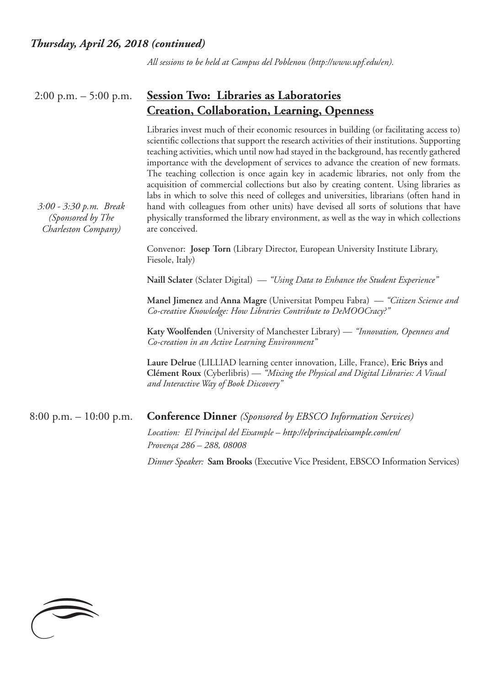*3:00 - 3:30 p.m. Break (Sponsored by The Charleston Company)*

*All sessions to be held at Campus del Poblenou (http://www.upf.edu/en).*

#### 2:00 p.m. – 5:00 p.m. **Session Two: Libraries as Laboratories Creation, Collaboration, Learning, Openness**

Libraries invest much of their economic resources in building (or facilitating access to) scientific collections that support the research activities of their institutions. Supporting teaching activities, which until now had stayed in the background, has recently gathered importance with the development of services to advance the creation of new formats. The teaching collection is once again key in academic libraries, not only from the acquisition of commercial collections but also by creating content. Using libraries as labs in which to solve this need of colleges and universities, librarians (often hand in hand with colleagues from other units) have devised all sorts of solutions that have physically transformed the library environment, as well as the way in which collections are conceived.

Convenor: **Josep Torn** (Library Director, European University Institute Library, Fiesole, Italy)

**Naill Sclater** (Sclater Digital) — *"Using Data to Enhance the Student Experience"*

**Manel Jimenez** and **Anna Magre** (Universitat Pompeu Fabra) — *"Citizen Science and Co-creative Knowledge: How Libraries Contribute to DeMOOCracy?"*

**Katy Woolfenden** (University of Manchester Library) — *"Innovation, Openness and Co-creation in an Active Learning Environment"*

**Laure Delrue** (LILLIAD learning center innovation, Lille, France), **Eric Briys** and **Clément Roux** (Cyberlibris) — *"Mixing the Physical and Digital Libraries: A Visual and Interactive Way of Book Discovery"*

# 8:00 p.m. – 10:00 p.m. **Conference Dinner** *(Sponsored by EBSCO Information Services)*

*Location: El Principal del Eixample – http://elprincipaleixample.com/en/ Provença 286 – 288, 08008*

*Dinner Speaker:* **Sam Brooks** (Executive Vice President, EBSCO Information Services)

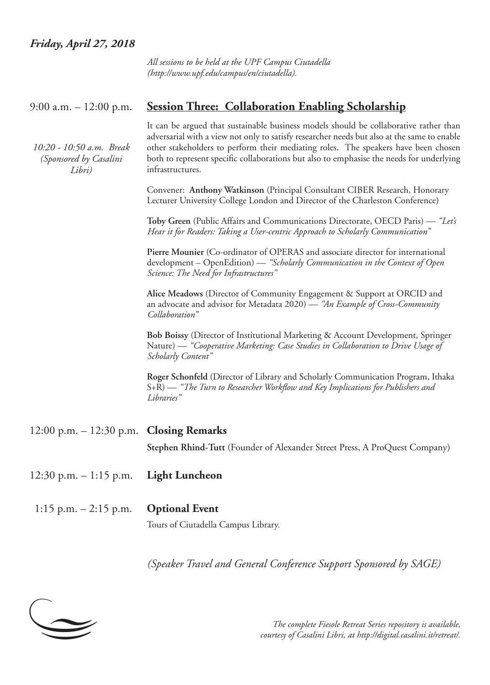#### *Friday, April 27, 2018*

*All sessions to be held at the UPF Campus Ciutadella (http://www.upf.edu/campus/en/ciutadella).*

#### 9:00 a.m. – 12:00 p.m. **Session Three: Collaboration Enabling Scholarship**

*10:20 - 10:50 a.m. Break (Sponsored by Casalini Libri)*

It can be argued that sustainable business models should be collaborative rather than adversarial with a view not only to satisfy researcher needs but also at the same to enable other stakeholders to perform their mediating roles. The speakers have been chosen both to represent specific collaborations but also to emphasise the needs for underlying infrastructures.

Convener: **Anthony Watkinson** (Principal Consultant CIBER Research, Honorary Lecturer University College London and Director of the Charleston Conference)

**Toby Green** (Public Affairs and Communications Directorate, OECD Paris) — *"Let's Hear it for Readers: Taking a User-centric Approach to Scholarly Communication"*

**Pierre Mounier** (Co-ordinator of OPERAS and associate director for international development – OpenEdition) — *"Scholarly Communication in the Context of Open Science: The Need for Infrastructures"*

**Alice Meadows** (Director of Community Engagement & Support at ORCID and an advocate and advisor for Metadata 2020) — *"An Example of Cross-Community Collaboration"*

**Bob Boissy** (Director of Institutional Marketing & Account Development, Springer Nature) — *"Cooperative Marketing: Case Studies in Collaboration to Drive Usage of Scholarly Content"*

**Roger Schonfeld** (Director of Library and Scholarly Communication Program, Ithaka S+R) — *"The Turn to Researcher Workflow and Key Implications for Publishers and Libraries"*

- 12:00 p.m. 12:30 p.m. **Closing Remarks Stephen Rhind-Tutt** (Founder of Alexander Street Press, A ProQuest Company)
- 12:30 p.m. 1:15 p.m. **Light Luncheon**
- 1:15 p.m. 2:15 p.m. **Optional Event**

Tours of Ciutadella Campus Library.

*(Speaker Travel and General Conference Support Sponsored by SAGE)*



*The complete Fiesole Retreat Series repository is available, courtesy of Casalini Libri, at http://digital.casalini.it/retreat/.*